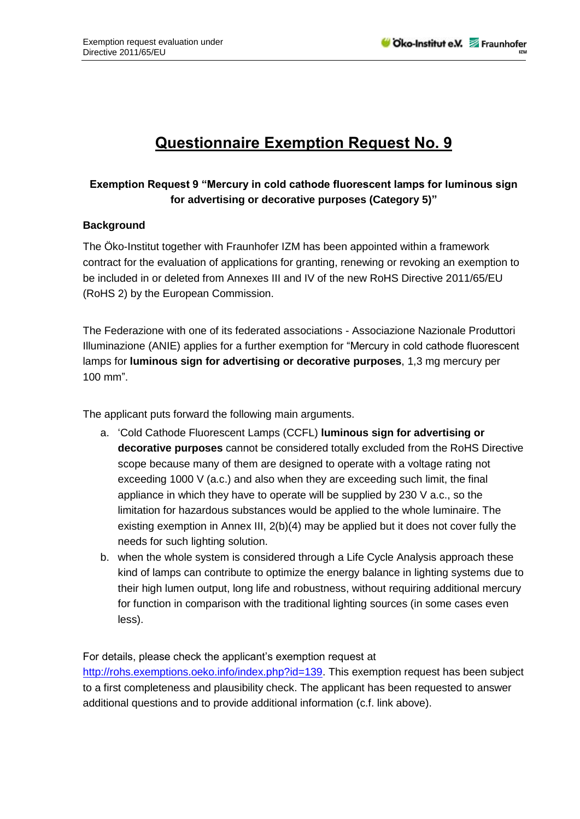## **Questionnaire Exemption Request No. 9**

## **Exemption Request 9 "Mercury in cold cathode fluorescent lamps for luminous sign for advertising or decorative purposes (Category 5)"**

## **Background**

The Öko-Institut together with Fraunhofer IZM has been appointed within a framework contract for the evaluation of applications for granting, renewing or revoking an exemption to be included in or deleted from Annexes III and IV of the new RoHS Directive 2011/65/EU (RoHS 2) by the European Commission.

The Federazione with one of its federated associations - Associazione Nazionale Produttori Illuminazione (ANIE) applies for a further exemption for "Mercury in cold cathode fluorescent lamps for **luminous sign for advertising or decorative purposes**, 1,3 mg mercury per 100 mm".

The applicant puts forward the following main arguments.

- a. 'Cold Cathode Fluorescent Lamps (CCFL) **luminous sign for advertising or decorative purposes** cannot be considered totally excluded from the RoHS Directive scope because many of them are designed to operate with a voltage rating not exceeding 1000 V (a.c.) and also when they are exceeding such limit, the final appliance in which they have to operate will be supplied by 230 V a.c., so the limitation for hazardous substances would be applied to the whole luminaire. The existing exemption in Annex III, 2(b)(4) may be applied but it does not cover fully the needs for such lighting solution.
- b. when the whole system is considered through a Life Cycle Analysis approach these kind of lamps can contribute to optimize the energy balance in lighting systems due to their high lumen output, long life and robustness, without requiring additional mercury for function in comparison with the traditional lighting sources (in some cases even less).

For details, please check the applicant's exemption request at

[http://rohs.exemptions.oeko.info/index.php?id=139.](http://rohs.exemptions.oeko.info/index.php?id=139) This exemption request has been subject to a first completeness and plausibility check. The applicant has been requested to answer additional questions and to provide additional information (c.f. link above).